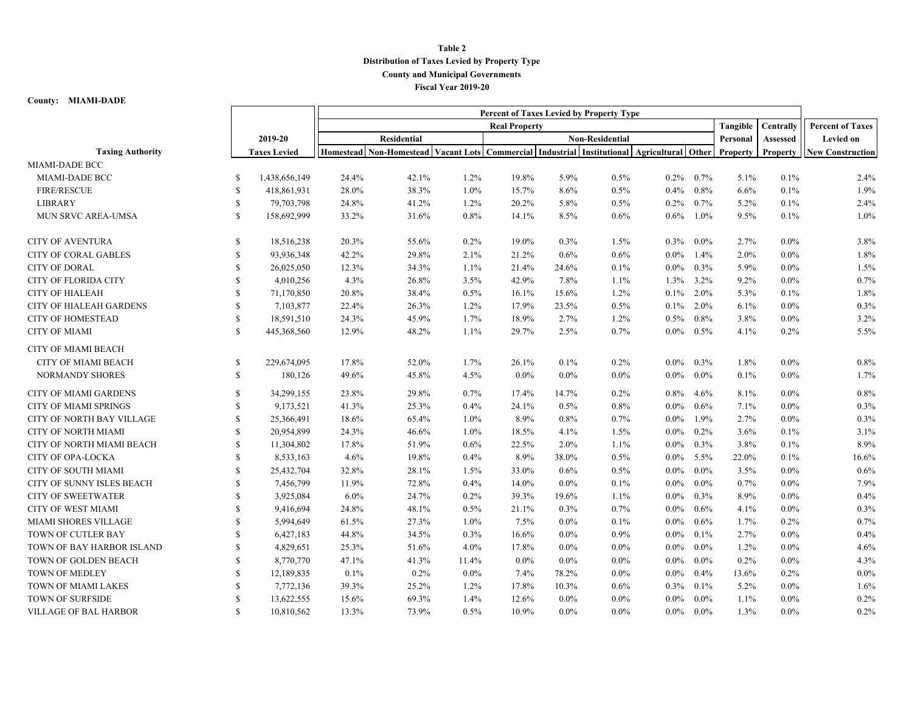## **Table 2 Distribution of Taxes Levied by Property Type County and Municipal Governments Fiscal Year 2019-20**

## **County: MIAMI-DADE**

|                                  |               |                     | Percent of Taxes Levied by Property Type |                                                                                            |                      |                        |         |          |           |                         |          |          |                         |
|----------------------------------|---------------|---------------------|------------------------------------------|--------------------------------------------------------------------------------------------|----------------------|------------------------|---------|----------|-----------|-------------------------|----------|----------|-------------------------|
|                                  |               |                     |                                          |                                                                                            | <b>Real Property</b> |                        |         | Tangible | Centrally | <b>Percent of Taxes</b> |          |          |                         |
|                                  |               | 2019-20             | <b>Residential</b>                       |                                                                                            |                      | <b>Non-Residential</b> |         |          | Personal  |                         |          | Assessed | <b>Levied on</b>        |
| <b>Taxing Authority</b>          |               | <b>Taxes Levied</b> |                                          | Homestead Non-Homestead Vacant Lots Commercial Industrial Institutional Agricultural Other |                      |                        |         |          |           |                         | Property | Property | <b>New Construction</b> |
| MIAMI-DADE BCC                   |               |                     |                                          |                                                                                            |                      |                        |         |          |           |                         |          |          |                         |
| MIAMI-DADE BCC                   | -S            | 1,438,656,149       | 24.4%                                    | 42.1%                                                                                      | 1.2%                 | 19.8%                  | 5.9%    | 0.5%     | $0.2\%$   | 0.7%                    | 5.1%     | 0.1%     | 2.4%                    |
| <b>FIRE/RESCUE</b>               | <sup>S</sup>  | 418,861,931         | 28.0%                                    | 38.3%                                                                                      | 1.0%                 | 15.7%                  | 8.6%    | 0.5%     | $0.4\%$   | 0.8%                    | 6.6%     | 0.1%     | 1.9%                    |
| <b>LIBRARY</b>                   | <sup>\$</sup> | 79,703,798          | 24.8%                                    | 41.2%                                                                                      | 1.2%                 | 20.2%                  | 5.8%    | 0.5%     | 0.2%      | 0.7%                    | 5.2%     | 0.1%     | 2.4%                    |
| MUN SRVC AREA-UMSA               | <sup>\$</sup> | 158,692,999         | 33.2%                                    | 31.6%                                                                                      | 0.8%                 | 14.1%                  | 8.5%    | 0.6%     | $0.6\%$   | 1.0%                    | 9.5%     | 0.1%     | 1.0%                    |
| <b>CITY OF AVENTURA</b>          | <sup>S</sup>  | 18,516,238          | 20.3%                                    | 55.6%                                                                                      | 0.2%                 | 19.0%                  | 0.3%    | 1.5%     | 0.3%      | $0.0\%$                 | 2.7%     | $0.0\%$  | 3.8%                    |
| <b>CITY OF CORAL GABLES</b>      | <sup>S</sup>  | 93,936,348          | 42.2%                                    | 29.8%                                                                                      | 2.1%                 | 21.2%                  | 0.6%    | 0.6%     | $0.0\%$   | 1.4%                    | $2.0\%$  | $0.0\%$  | 1.8%                    |
| <b>CITY OF DORAL</b>             | $\mathbf S$   | 26,025,050          | 12.3%                                    | 34.3%                                                                                      | 1.1%                 | 21.4%                  | 24.6%   | 0.1%     | $0.0\%$   | 0.3%                    | 5.9%     | $0.0\%$  | 1.5%                    |
| <b>CITY OF FLORIDA CITY</b>      | $\mathbf S$   | 4,010,256           | 4.3%                                     | 26.8%                                                                                      | 3.5%                 | 42.9%                  | 7.8%    | $1.1\%$  | 1.3%      | $3.2\%$                 | $9.2\%$  | $0.0\%$  | 0.7%                    |
| <b>CITY OF HIALEAH</b>           | <sup>S</sup>  | 71,170,850          | 20.8%                                    | 38.4%                                                                                      | 0.5%                 | 16.1%                  | 15.6%   | 1.2%     | $0.1\%$   | $2.0\%$                 | 5.3%     | 0.1%     | 1.8%                    |
| CITY OF HIALEAH GARDENS          | S             | 7,103,877           | 22.4%                                    | 26.3%                                                                                      | 1.2%                 | 17.9%                  | 23.5%   | 0.5%     | $0.1\%$   | $2.0\%$                 | 6.1%     | $0.0\%$  | 0.3%                    |
| <b>CITY OF HOMESTEAD</b>         | <sup>\$</sup> | 18,591,510          | 24.3%                                    | 45.9%                                                                                      | 1.7%                 | 18.9%                  | 2.7%    | 1.2%     | 0.5%      | 0.8%                    | 3.8%     | $0.0\%$  | 3.2%                    |
| <b>CITY OF MIAMI</b>             | <sup>S</sup>  | 445,368,560         | 12.9%                                    | 48.2%                                                                                      | 1.1%                 | 29.7%                  | 2.5%    | 0.7%     | $0.0\%$   | 0.5%                    | 4.1%     | 0.2%     | 5.5%                    |
| <b>CITY OF MIAMI BEACH</b>       |               |                     |                                          |                                                                                            |                      |                        |         |          |           |                         |          |          |                         |
| <b>CITY OF MIAMI BEACH</b>       | <sup>\$</sup> | 229,674,095         | 17.8%                                    | 52.0%                                                                                      | 1.7%                 | 26.1%                  | 0.1%    | 0.2%     | $0.0\%$   | 0.3%                    | 1.8%     | $0.0\%$  | 0.8%                    |
| <b>NORMANDY SHORES</b>           | $\mathbb{S}$  | 180,126             | 49.6%                                    | 45.8%                                                                                      | 4.5%                 | $0.0\%$                | $0.0\%$ | $0.0\%$  | $0.0\%$   | $0.0\%$                 | 0.1%     | $0.0\%$  | 1.7%                    |
| <b>CITY OF MIAMI GARDENS</b>     | <sup>\$</sup> | 34,299,155          | 23.8%                                    | 29.8%                                                                                      | 0.7%                 | 17.4%                  | 14.7%   | 0.2%     | 0.8%      | 4.6%                    | 8.1%     | $0.0\%$  | 0.8%                    |
| <b>CITY OF MIAMI SPRINGS</b>     | <sup>S</sup>  | 9,173,521           | 41.3%                                    | 25.3%                                                                                      | 0.4%                 | 24.1%                  | 0.5%    | 0.8%     | $0.0\%$   | 0.6%                    | 7.1%     | $0.0\%$  | 0.3%                    |
| <b>CITY OF NORTH BAY VILLAGE</b> | <sup>\$</sup> | 25,366,491          | 18.6%                                    | 65.4%                                                                                      | 1.0%                 | 8.9%                   | 0.8%    | 0.7%     | $0.0\%$   | 1.9%                    | 2.7%     | $0.0\%$  | 0.3%                    |
| CITY OF NORTH MIAMI              | \$.           | 20,954,899          | 24.3%                                    | 46.6%                                                                                      | 1.0%                 | 18.5%                  | 4.1%    | 1.5%     | $0.0\%$   | 0.2%                    | 3.6%     | 0.1%     | 3.1%                    |
| CITY OF NORTH MIAMI BEACH        | <sup>S</sup>  | 11,304,802          | 17.8%                                    | 51.9%                                                                                      | 0.6%                 | 22.5%                  | 2.0%    | 1.1%     | $0.0\%$   | 0.3%                    | 3.8%     | 0.1%     | 8.9%                    |
| CITY OF OPA-LOCKA                | <sup>\$</sup> | 8,533,163           | 4.6%                                     | 19.8%                                                                                      | 0.4%                 | 8.9%                   | 38.0%   | 0.5%     | $0.0\%$   | $5.5\%$                 | 22.0%    | 0.1%     | 16.6%                   |
| <b>CITY OF SOUTH MIAMI</b>       | <sup>\$</sup> | 25,432,704          | 32.8%                                    | 28.1%                                                                                      | 1.5%                 | 33.0%                  | 0.6%    | 0.5%     | $0.0\%$   | $0.0\%$                 | 3.5%     | $0.0\%$  | 0.6%                    |
| CITY OF SUNNY ISLES BEACH        | <sup>\$</sup> | 7,456,799           | 11.9%                                    | 72.8%                                                                                      | 0.4%                 | 14.0%                  | $0.0\%$ | 0.1%     | $0.0\%$   | $0.0\%$                 | 0.7%     | $0.0\%$  | 7.9%                    |
| <b>CITY OF SWEETWATER</b>        | <sup>\$</sup> | 3,925,084           | $6.0\%$                                  | 24.7%                                                                                      | 0.2%                 | 39.3%                  | 19.6%   | $1.1\%$  | $0.0\%$   | 0.3%                    | 8.9%     | $0.0\%$  | 0.4%                    |
| <b>CITY OF WEST MIAMI</b>        | <sup>S</sup>  | 9,416,694           | 24.8%                                    | 48.1%                                                                                      | 0.5%                 | 21.1%                  | 0.3%    | 0.7%     | $0.0\%$   | 0.6%                    | 4.1%     | $0.0\%$  | 0.3%                    |
| MIAMI SHORES VILLAGE             | S             | 5,994,649           | 61.5%                                    | 27.3%                                                                                      | 1.0%                 | 7.5%                   | $0.0\%$ | 0.1%     | $0.0\%$   | 0.6%                    | 1.7%     | 0.2%     | 0.7%                    |
| TOWN OF CUTLER BAY               | <b>S</b>      | 6,427,183           | 44.8%                                    | 34.5%                                                                                      | 0.3%                 | 16.6%                  | $0.0\%$ | $0.9\%$  | $0.0\%$   | 0.1%                    | 2.7%     | $0.0\%$  | 0.4%                    |
| TOWN OF BAY HARBOR ISLAND        | <sup>S</sup>  | 4,829,651           | 25.3%                                    | 51.6%                                                                                      | 4.0%                 | 17.8%                  | $0.0\%$ | $0.0\%$  | $0.0\%$   | $0.0\%$                 | 1.2%     | $0.0\%$  | 4.6%                    |
| TOWN OF GOLDEN BEACH             | <sup>S</sup>  | 8,770,770           | 47.1%                                    | 41.3%                                                                                      | 11.4%                | $0.0\%$                | $0.0\%$ | $0.0\%$  | $0.0\%$   | $0.0\%$                 | $0.2\%$  | $0.0\%$  | 4.3%                    |
| TOWN OF MEDLEY                   | \$            | 12,189,835          | 0.1%                                     | 0.2%                                                                                       | $0.0\%$              | 7.4%                   | 78.2%   | $0.0\%$  | $0.0\%$   | 0.4%                    | 13.6%    | 0.2%     | $0.0\%$                 |
| <b>TOWN OF MIAMI LAKES</b>       | S             | 7,772,136           | 39.3%                                    | 25.2%                                                                                      | 1.2%                 | 17.8%                  | 10.3%   | 0.6%     | 0.3%      | 0.1%                    | 5.2%     | $0.0\%$  | 1.6%                    |
| TOWN OF SURFSIDE                 | <sup>\$</sup> | 13,622,555          | 15.6%                                    | 69.3%                                                                                      | 1.4%                 | 12.6%                  | $0.0\%$ | $0.0\%$  | $0.0\%$   | $0.0\%$                 | 1.1%     | $0.0\%$  | 0.2%                    |
| <b>VILLAGE OF BAL HARBOR</b>     | $\mathbf S$   | 10,810,562          | 13.3%                                    | 73.9%                                                                                      | 0.5%                 | 10.9%                  | $0.0\%$ | $0.0\%$  | $0.0\%$   | $0.0\%$                 | 1.3%     | $0.0\%$  | 0.2%                    |